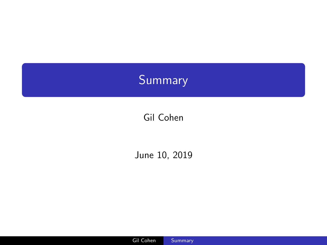# <span id="page-0-0"></span>Summary

## Gil Cohen

#### June 10, 2019

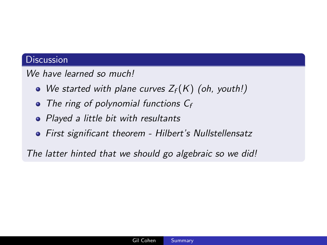#### We have learned so much!

- We started with plane curves  $Z_f(K)$  (oh, youth!)
- The ring of polynomial functions  $C_f$
- Played a little bit with resultants
- First significant theorem Hilbert's Nullstellensatz

The latter hinted that we should go algebraic so we did!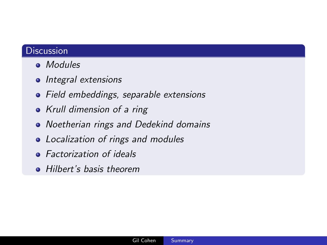- Modules
- Integral extensions
- Field embeddings, separable extensions
- Krull dimension of a ring
- Noetherian rings and Dedekind domains
- Localization of rings and modules
- Factorization of ideals
- Hilbert's basis theorem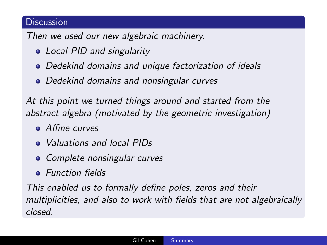Then we used our new algebraic machinery.

- Local PID and singularity
- Dedekind domains and unique factorization of ideals
- Dedekind domains and nonsingular curves

At this point we turned things around and started from the abstract algebra (motivated by the geometric investigation)

- **Affine curves**
- Valuations and local PIDs
- Complete nonsingular curves
- **•** Function fields

This enabled us to formally define poles, zeros and their multiplicities, and also to work with fields that are not algebraically closed.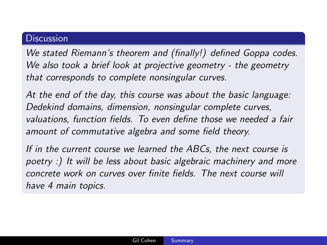We stated Riemann's theorem and (finally!) defined Goppa codes. We also took a brief look at projective geometry - the geometry that corresponds to complete nonsingular curves.

At the end of the day, this course was about the basic language: Dedekind domains, dimension, nonsingular complete curves, valuations, function fields. To even define those we needed a fair amount of commutative algebra and some field theory.

If in the current course we learned the ABCs, the next course is poetry :) It will be less about basic algebraic machinery and more concrete work on curves over finite fields. The next course will have 4 main topics.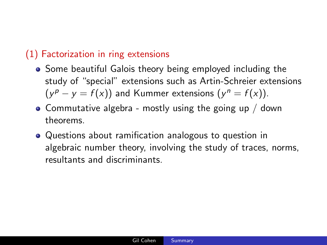### (1) Factorization in ring extensions

- Some beautiful Galois theory being employed including the study of "special" extensions such as Artin-Schreier extensions  $(y^{p} - y = f(x))$  and Kummer extensions  $(y^{n} = f(x))$ .
- Commutative algebra mostly using the going up  $/$  down theorems.
- Questions about ramification analogous to question in algebraic number theory, involving the study of traces, norms, resultants and discriminants.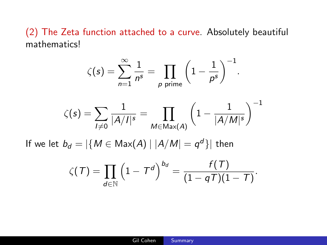(2) The Zeta function attached to a curve. Absolutely beautiful mathematics!

$$
\zeta(s) = \sum_{n=1}^{\infty} \frac{1}{n^s} = \prod_{p \text{ prime}} \left( 1 - \frac{1}{p^s} \right)^{-1}.
$$

$$
\zeta(s) = \sum_{l \neq 0} \frac{1}{|A/l|^s} = \prod_{M \in \text{Max}(A)} \left( 1 - \frac{1}{|A/M|^s} \right)^{-1}
$$
If we let  $b_d = |\{ M \in \text{Max}(A) | |A/M| = q^d \} |$  then  

$$
\zeta(T) = \prod_{d \in \mathbb{N}} \left( 1 - T^d \right)^{b_d} = \frac{f(T)}{(1 - qT)(1 - T)}.
$$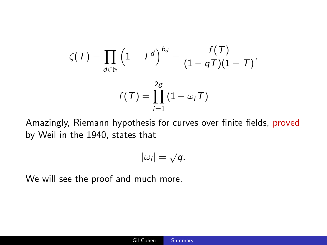$$
\zeta(\mathcal{T}) = \prod_{d \in \mathbb{N}} \left(1 - \mathcal{T}^d\right)^{b_d} = \frac{f(\mathcal{T})}{(1 - q\mathcal{T})(1 - \mathcal{T})}.
$$

$$
f(\mathcal{T}) = \prod_{i=1}^{2g} (1 - \omega_i \mathcal{T})
$$

Amazingly, Riemann hypothesis for curves over finite fields, proved by Weil in the 1940, states that

$$
|\omega_i|=\sqrt{q}.
$$

We will see the proof and much more.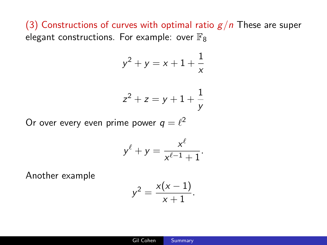(3) Constructions of curves with optimal ratio  $g/n$  These are super elegant constructions. For example: over  $\mathbb{F}_8$ 

$$
y^2 + y = x + 1 + \frac{1}{x}
$$

$$
z^2+z=y+1+\frac{1}{y}
$$

Or over every even prime power  $q = \ell^2$ 

$$
y^{\ell} + y = \frac{x^{\ell}}{x^{\ell-1} + 1}.
$$

Another example

$$
y^2 = \frac{x(x-1)}{x+1}.
$$